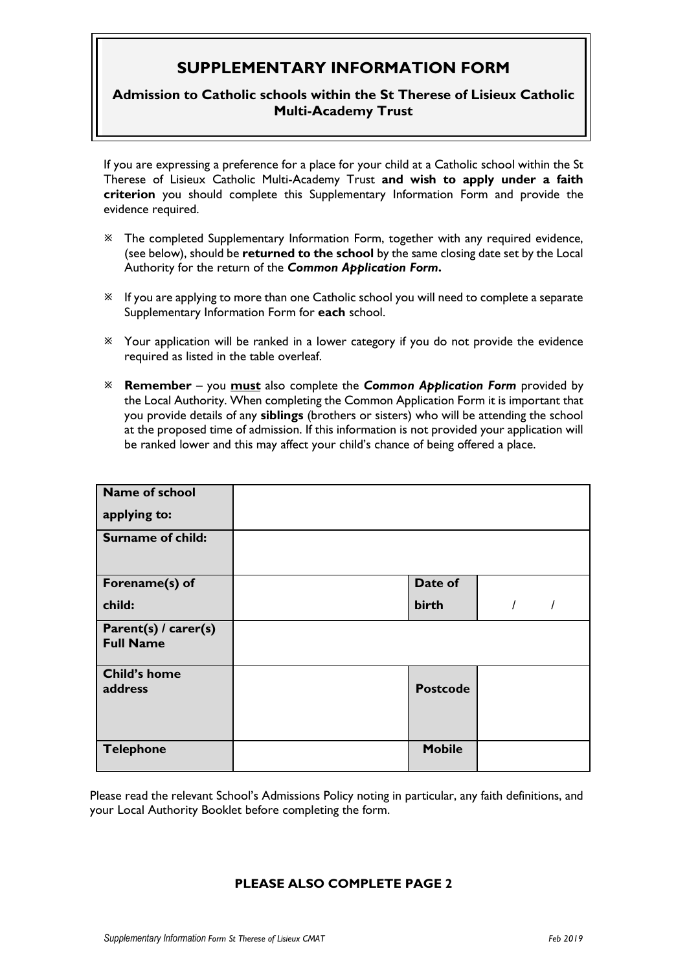## **SUPPLEMENTARY INFORMATION FORM**

## **Admission to Catholic schools within the St Therese of Lisieux Catholic Multi-Academy Trust**

If you are expressing a preference for a place for your child at a Catholic school within the St Therese of Lisieux Catholic Multi-Academy Trust **and wish to apply under a faith criterion** you should complete this Supplementary Information Form and provide the evidence required.

- The completed Supplementary Information Form, together with any required evidence, (see below), should be **returned to the school** by the same closing date set by the Local Authority for the return of the *Common Application Form***.**
- If you are applying to more than one Catholic school you will need to complete a separate Supplementary Information Form for **each** school.
- Your application will be ranked in a lower category if you do not provide the evidence required as listed in the table overleaf.
- **Remember** you **must** also complete the *Common Application Form* provided by the Local Authority. When completing the Common Application Form it is important that you provide details of any **siblings** (brothers or sisters) who will be attending the school at the proposed time of admission. If this information is not provided your application will be ranked lower and this may affect your child's chance of being offered a place.

| Name of school                           |                 |  |  |
|------------------------------------------|-----------------|--|--|
| applying to:                             |                 |  |  |
| <b>Surname of child:</b>                 |                 |  |  |
| Forename(s) of                           | Date of         |  |  |
| child:                                   | birth           |  |  |
| Parent(s) / carer(s)<br><b>Full Name</b> |                 |  |  |
| <b>Child's home</b><br>address           | <b>Postcode</b> |  |  |
| <b>Telephone</b>                         | <b>Mobile</b>   |  |  |

Please read the relevant School's Admissions Policy noting in particular, any faith definitions, and your Local Authority Booklet before completing the form.

## **PLEASE ALSO COMPLETE PAGE 2**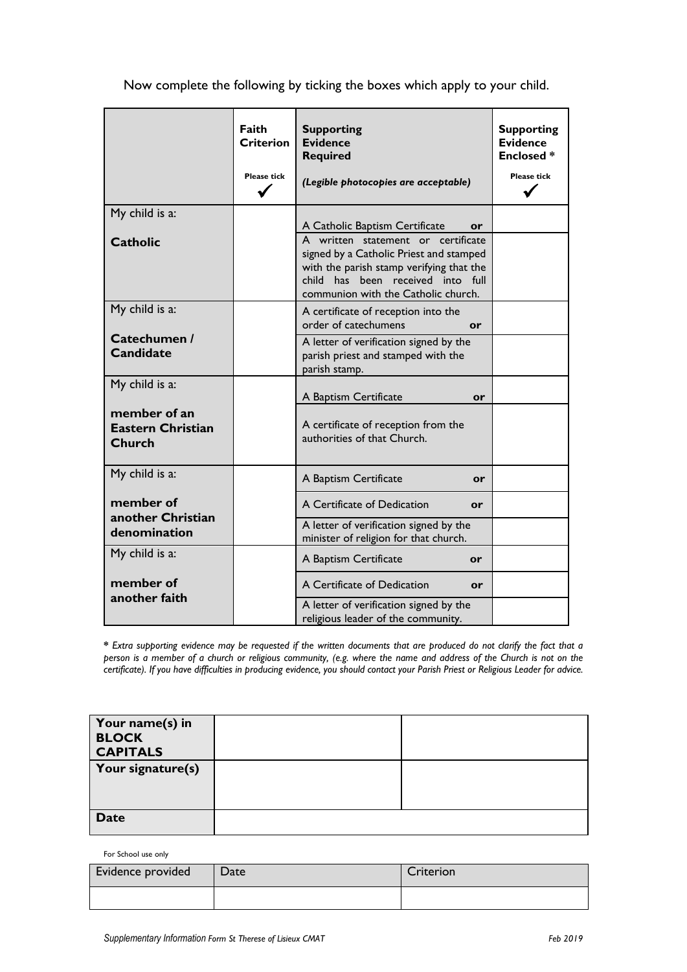Now complete the following by ticking the boxes which apply to your child.

|                                                           | Faith<br><b>Criterion</b><br><b>Please tick</b> | <b>Supporting</b><br><b>Evidence</b><br><b>Required</b><br>(Legible photocopies are acceptable)                                                                                                       | <b>Supporting</b><br><b>Evidence</b><br><b>Enclosed*</b><br><b>Please tick</b> |
|-----------------------------------------------------------|-------------------------------------------------|-------------------------------------------------------------------------------------------------------------------------------------------------------------------------------------------------------|--------------------------------------------------------------------------------|
| My child is a:                                            |                                                 | A Catholic Baptism Certificate<br>or                                                                                                                                                                  |                                                                                |
| <b>Catholic</b>                                           |                                                 | A written statement or certificate<br>signed by a Catholic Priest and stamped<br>with the parish stamp verifying that the<br>child has been received into full<br>communion with the Catholic church. |                                                                                |
| My child is a:                                            |                                                 | A certificate of reception into the<br>order of catechumens<br>or                                                                                                                                     |                                                                                |
| Catechumen /<br><b>Candidate</b>                          |                                                 | A letter of verification signed by the<br>parish priest and stamped with the<br>parish stamp.                                                                                                         |                                                                                |
| My child is a:                                            |                                                 | A Baptism Certificate<br>or                                                                                                                                                                           |                                                                                |
| member of an<br><b>Eastern Christian</b><br><b>Church</b> |                                                 | A certificate of reception from the<br>authorities of that Church.                                                                                                                                    |                                                                                |
| My child is a:                                            |                                                 | A Baptism Certificate<br>or                                                                                                                                                                           |                                                                                |
| member of<br>another Christian                            |                                                 | A Certificate of Dedication<br>or                                                                                                                                                                     |                                                                                |
| denomination                                              |                                                 | A letter of verification signed by the<br>minister of religion for that church.                                                                                                                       |                                                                                |
| My child is a:                                            |                                                 | A Baptism Certificate<br>or                                                                                                                                                                           |                                                                                |
| member of<br>another faith                                |                                                 | A Certificate of Dedication<br>or                                                                                                                                                                     |                                                                                |
|                                                           |                                                 | A letter of verification signed by the<br>religious leader of the community.                                                                                                                          |                                                                                |

**\*** *Extra supporting evidence may be requested if the written documents that are produced do not clarify the fact that a person is a member of a church or religious community, (e.g. where the name and address of the Church is not on the certificate). If you have difficulties in producing evidence, you should contact your Parish Priest or Religious Leader for advice.*

| Your name(s) in<br><b>BLOCK</b><br><b>CAPITALS</b> |  |
|----------------------------------------------------|--|
| Your signature(s)                                  |  |
| <b>Date</b>                                        |  |

For School use only

| Evidence provided | Date | Criterion |
|-------------------|------|-----------|
|                   |      |           |